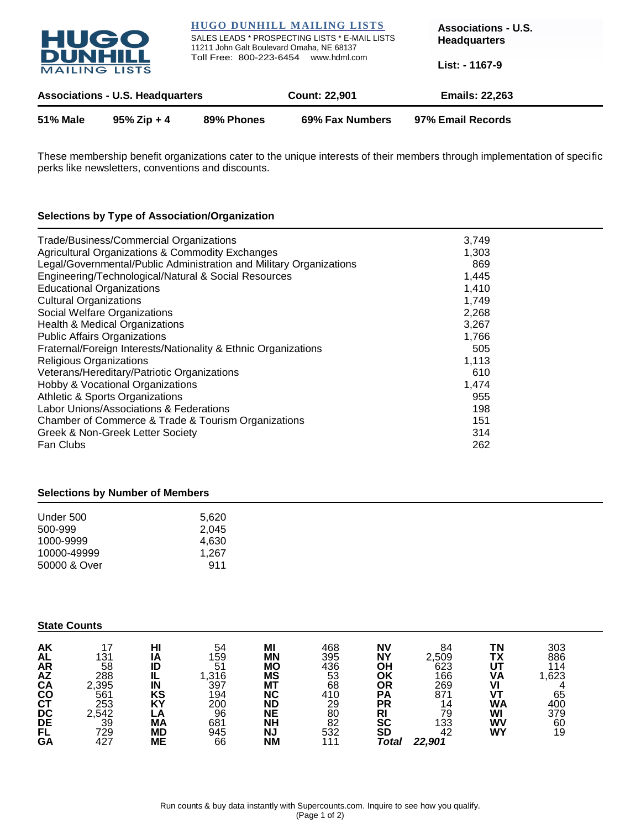

These membership benefit organizations cater to the unique interests of their members through implementation of specific perks like newsletters, conventions and discounts.

# **Selections by Type of Association/Organization**

| Trade/Business/Commercial Organizations<br>Agricultural Organizations & Commodity Exchanges<br>Legal/Governmental/Public Administration and Military Organizations | 3,749<br>1,303<br>869 |  |
|--------------------------------------------------------------------------------------------------------------------------------------------------------------------|-----------------------|--|
| Engineering/Technological/Natural & Social Resources<br><b>Educational Organizations</b>                                                                           | 1,445<br>1,410        |  |
| <b>Cultural Organizations</b>                                                                                                                                      | 1,749                 |  |
| Social Welfare Organizations                                                                                                                                       | 2,268                 |  |
| Health & Medical Organizations<br><b>Public Affairs Organizations</b>                                                                                              | 3,267<br>1,766        |  |
| Fraternal/Foreign Interests/Nationality & Ethnic Organizations                                                                                                     | 505                   |  |
| Religious Organizations                                                                                                                                            | 1,113                 |  |
| Veterans/Hereditary/Patriotic Organizations                                                                                                                        | 610                   |  |
| Hobby & Vocational Organizations                                                                                                                                   | 1,474                 |  |
| Athletic & Sports Organizations                                                                                                                                    | 955                   |  |
| Labor Unions/Associations & Federations                                                                                                                            | 198                   |  |
| Chamber of Commerce & Trade & Tourism Organizations                                                                                                                | 151                   |  |
| Greek & Non-Greek Letter Society                                                                                                                                   | 314                   |  |
| Fan Clubs                                                                                                                                                          | 262                   |  |

## **Selections by Number of Members**

| 5.620 |
|-------|
| 2.045 |
| 4.630 |
| 1.267 |
| 911   |
|       |

# **State Counts**

| AK                           |       |           | 54        | MI        | 468 | <b>NV</b> | 84     | TN | 303   |  |
|------------------------------|-------|-----------|-----------|-----------|-----|-----------|--------|----|-------|--|
| <b>AL</b>                    | 131   | ΙA        | 159       | ΜN        | 395 | <b>NY</b> | 2,509  | TΧ | 886   |  |
|                              | 58    | ID        | 51        | МO        | 436 | OH        | 623    | UT | 114   |  |
|                              | 288   | IL        | ,316      | ΜS        | 53  | OK        | 166    | ٧A | 1,623 |  |
|                              | 2,395 | IN        | 397       | <b>MT</b> | 68  | OR        | 269    |    |       |  |
|                              | 561   | KS        | 194       | ΝC        | 410 | <b>PA</b> | 871    |    | 65    |  |
|                              | 253   | K٢        | 200<br>96 | ΝD        | 29  | РR        | 14     | WA | 400   |  |
|                              | 2,542 |           |           | <b>NE</b> | 80  | RI        | 79     | WI | 379   |  |
|                              | 39    | <b>MA</b> | 681       | NΗ        | 82  | SC        | 133    | W٧ | 60    |  |
| <b>ARACAOTC</b><br>COCOCODEL | 729   | <b>MD</b> | 945       | <b>NJ</b> | 532 | <b>SD</b> | 42     | WY | 19    |  |
| GA                           | 427   | MЕ        | 66        | <b>NM</b> | 111 | Total     | 22,901 |    |       |  |